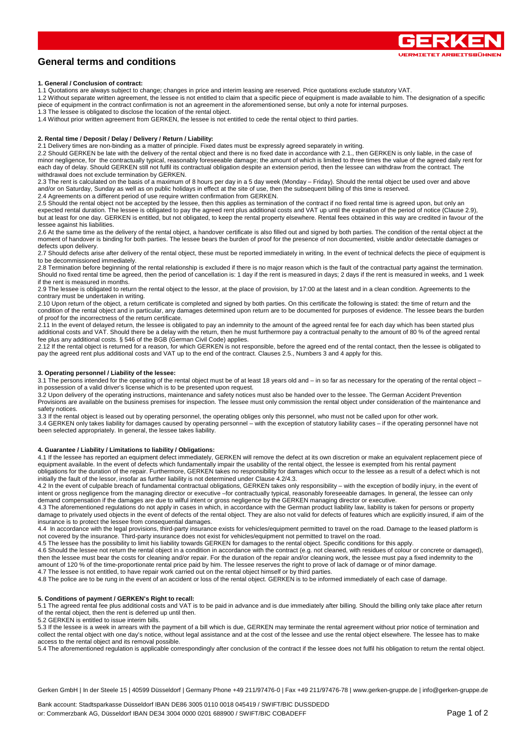

# **General terms and conditions**

## **1. General / Conclusion of contract:**

1.1 Quotations are always subject to change; changes in price and interim leasing are reserved. Price quotations exclude statutory VAT.

1.2 Without separate written agreement, the lessee is not entitled to claim that a specific piece of equipment is made available to him. The designation of a specific piece of equipment in the contract confirmation is not an agreement in the aforementioned sense, but only a note for internal purposes. 1.3 The lessee is obligated to disclose the location of the rental object.

1.4 Without prior written agreement from GERKEN, the lessee is not entitled to cede the rental object to third parties.

# **2. Rental time / Deposit / Delay / Delivery / Return / Liability:**

2.1 Delivery times are non-binding as a matter of principle. Fixed dates must be expressly agreed separately in writing.

2.2 Should GERKEN be late with the delivery of the rental object and there is no fixed date in accordance with 2.1., then GERKEN is only liable, in the case of minor negligence, for the contractually typical, reasonably foreseeable damage; the amount of which is limited to three times the value of the agreed daily rent for each day of delay. Should GERKEN still not fulfil its contractual obligation despite an extension period, then the lessee can withdraw from the contract. The withdrawal does not exclude termination by GERKEN.

2.3 The rent is calculated on the basis of a maximum of 8 hours per day in a 5 day week (Monday – Friday). Should the rental object be used over and above and/or on Saturday, Sunday as well as on public holidays in effect at the site of use, then the subsequent billing of this time is reserved.

2.4 Agreements on a different period of use require written confirmation from GERKEN.

2.5 Should the rental object not be accepted by the lessee, then this applies as termination of the contract if no fixed rental time is agreed upon, but only an expected rental duration. The lessee is obligated to pay the agreed rent plus additional costs and VAT up until the expiration of the period of notice (Clause 2.9), but at least for one day. GERKEN is entitled, but not obligated, to keep the rental property elsewhere. Rental fees obtained in this way are credited in favour of the lessee against his liabilities.

2.6 At the same time as the delivery of the rental object, a handover certificate is also filled out and signed by both parties. The condition of the rental object at the moment of handover is binding for both parties. The lessee bears the burden of proof for the presence of non documented, visible and/or detectable damages or defects upon delivery.

2.7 Should defects arise after delivery of the rental object, these must be reported immediately in writing. In the event of technical defects the piece of equipment is to be decommissioned immediately.

2.8 Termination before beginning of the rental relationship is excluded if there is no major reason which is the fault of the contractual party against the termination. Should no fixed rental time be agreed, then the period of cancellation is: 1 day if the rent is measured in days; 2 days if the rent is measured in weeks, and 1 week if the rent is measured in months.

2.9 The lessee is obligated to return the rental object to the lessor, at the place of provision, by 17:00 at the latest and in a clean condition. Agreements to the contrary must be undertaken in writing.

2.10 Upon return of the object, a return certificate is completed and signed by both parties. On this certificate the following is stated: the time of return and the condition of the rental object and in particular, any damages determined upon return are to be documented for purposes of evidence. The lessee bears the burden of proof for the incorrectness of the return certificate.

2.11 In the event of delayed return, the lessee is obligated to pay an indemnity to the amount of the agreed rental fee for each day which has been started plus additional costs and VAT. Should there be a delay with the return, then he must furthermore pay a contractual penalty to the amount of 80 % of the agreed rental fee plus any additional costs. § 546 of the BGB (German Civil Code) applies.

2.12 If the rental object is returned for a reason, for which GERKEN is not responsible, before the agreed end of the rental contact, then the lessee is obligated to<br>pay the agreed rent plus additional costs and VAT up to

# **3. Operating personnel / Liability of the lessee:**

3.1 The persons intended for the operating of the rental object must be of at least 18 years old and – in so far as necessary for the operating of the rental object – in possession of a valid driver's license which is to be presented upon request.

3.2 Upon delivery of the operating instructions, maintenance and safety notices must also be handed over to the lessee. The German Accident Prevention Provisions are available on the business premises for inspection. The lessee must only commission the rental object under consideration of the maintenance and safety notices.

3.3 If the rental object is leased out by operating personnel, the operating obliges only this personnel, who must not be called upon for other work. 3.4 GERKEN only takes liability for damages caused by operating personnel – with the exception of statutory liability cases – if the operating personnel have not been selected appropriately. In general, the lessee takes liability.

#### **4. Guarantee / Liability / Limitations to liability / Obligations:**

4.1 If the lessee has reported an equipment defect immediately, GERKEN will remove the defect at its own discretion or make an equivalent replacement piece of equipment available. In the event of defects which fundamentally impair the usability of the rental object, the lessee is exempted from his rental payment obligations for the duration of the repair. Furthermore, GERKEN takes no responsibility for damages which occur to the lessee as a result of a defect which is not initially the fault of the lessor, insofar as further liability is not determined under Clause 4.2/4.3.

4.2 In the event of culpable breach of fundamental contractual obligations, GERKEN takes only responsibility – with the exception of bodily injury, in the event of intent or gross negligence from the managing director or executive –for contractually typical, reasonably foreseeable damages. In general, the lessee can only demand compensation if the damages are due to wilful intent or gross negligence by the GERKEN managing director or executive.

4.3 The aforementioned regulations do not apply in cases in which, in accordance with the German product liability law, liability is taken for persons or property damage to privately used objects in the event of defects of the rental object. They are also not valid for defects of features which are explicitly insured, if aim of the insurance is to protect the lessee from consequential damages.

4.4 In accordance with the legal provisions, third-party insurance exists for vehicles/equipment permitted to travel on the road. Damage to the leased platform is not covered by the insurance. Third-party insurance does not exist for vehicles/equipment not permitted to travel on the road.

4.5 The lessee has the possibility to limit his liability towards GERKEN for damages to the rental object. Specific conditions for this apply.

4.6 Should the lessee not return the rental object in a condition in accordance with the contract (e.g. not cleaned, with residues of colour or concrete or damaged), then the lessee must bear the costs for cleaning and/or repair. For the duration of the repair and/or cleaning work, the lessee must pay a fixed indemnity to the amount of 120 % of the time-proportionate rental price paid by him. The lessee reserves the right to prove of lack of damage or of minor damage.

4.7 The lessee is not entitled, to have repair work carried out on the rental object himself or by third parties.

4.8 The police are to be rung in the event of an accident or loss of the rental object. GERKEN is to be informed immediately of each case of damage.

### **5. Conditions of payment / GERKEN's Right to recall:**

5.1 The agreed rental fee plus additional costs and VAT is to be paid in advance and is due immediately after billing. Should the billing only take place after return of the rental object, then the rent is deferred up until then.

5.2 GERKEN is entitled to issue interim bills.

5.3 If the lessee is a week in arrears with the payment of a bill which is due, GERKEN may terminate the rental agreement without prior notice of termination and collect the rental object with one day's notice, without legal assistance and at the cost of the lessee and use the rental object elsewhere. The lessee has to make access to the rental object and its removal possible.

5.4 The aforementioned regulation is applicable correspondingly after conclusion of the contract if the lessee does not fulfil his obligation to return the rental object.

Gerken GmbH | In der Steele 15 | 40599 Düsseldorf | Germany Phone +49 211/97476-0 | Fax +49 211/97476-78 | www.gerken-gruppe.de | info@gerken-gruppe.de